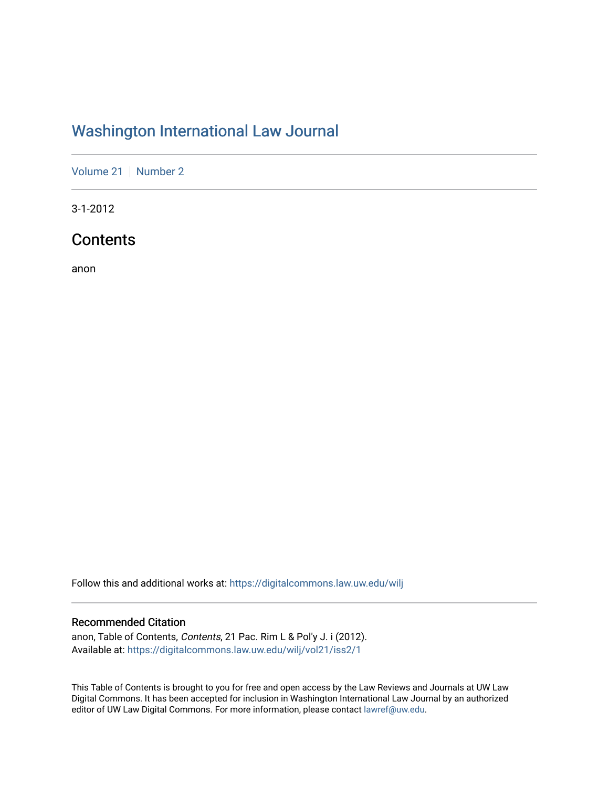# [Washington International Law Journal](https://digitalcommons.law.uw.edu/wilj)

[Volume 21](https://digitalcommons.law.uw.edu/wilj/vol21) | [Number 2](https://digitalcommons.law.uw.edu/wilj/vol21/iss2)

3-1-2012

## **Contents**

anon

Follow this and additional works at: [https://digitalcommons.law.uw.edu/wilj](https://digitalcommons.law.uw.edu/wilj?utm_source=digitalcommons.law.uw.edu%2Fwilj%2Fvol21%2Fiss2%2F1&utm_medium=PDF&utm_campaign=PDFCoverPages) 

## Recommended Citation

anon, Table of Contents, Contents, 21 Pac. Rim L & Pol'y J. i (2012). Available at: [https://digitalcommons.law.uw.edu/wilj/vol21/iss2/1](https://digitalcommons.law.uw.edu/wilj/vol21/iss2/1?utm_source=digitalcommons.law.uw.edu%2Fwilj%2Fvol21%2Fiss2%2F1&utm_medium=PDF&utm_campaign=PDFCoverPages) 

This Table of Contents is brought to you for free and open access by the Law Reviews and Journals at UW Law Digital Commons. It has been accepted for inclusion in Washington International Law Journal by an authorized editor of UW Law Digital Commons. For more information, please contact [lawref@uw.edu](mailto:lawref@uw.edu).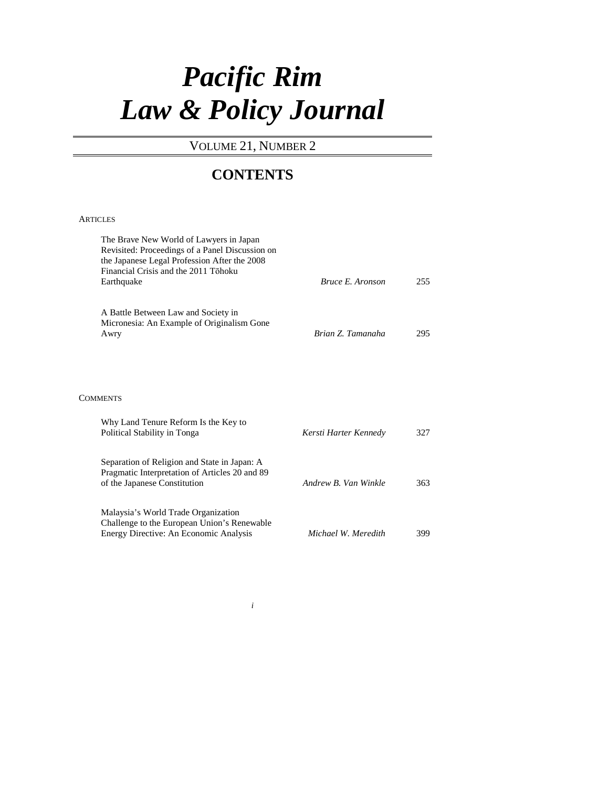# *Pacific Rim Law & Policy Journal*

## VOLUME 21, NUMBER 2

## **CONTENTS**

### **ARTICLES**

| The Brave New World of Lawyers in Japan<br>Revisited: Proceedings of a Panel Discussion on<br>the Japanese Legal Profession After the 2008<br>Financial Crisis and the 2011 Tōhoku<br>Earthquake | Bruce E. Aronson      | 255 |
|--------------------------------------------------------------------------------------------------------------------------------------------------------------------------------------------------|-----------------------|-----|
| A Battle Between Law and Society in<br>Micronesia: An Example of Originalism Gone<br>Awry                                                                                                        | Brian Z. Tamanaha     | 295 |
| <b>COMMENTS</b>                                                                                                                                                                                  |                       |     |
| Why Land Tenure Reform Is the Key to<br>Political Stability in Tonga                                                                                                                             | Kersti Harter Kennedy | 327 |
| Separation of Religion and State in Japan: A<br>Pragmatic Interpretation of Articles 20 and 89<br>of the Japanese Constitution                                                                   | Andrew B. Van Winkle  | 363 |
| Malaysia's World Trade Organization<br>Challenge to the European Union's Renewable<br>Energy Directive: An Economic Analysis                                                                     | Michael W. Meredith   | 399 |

*i*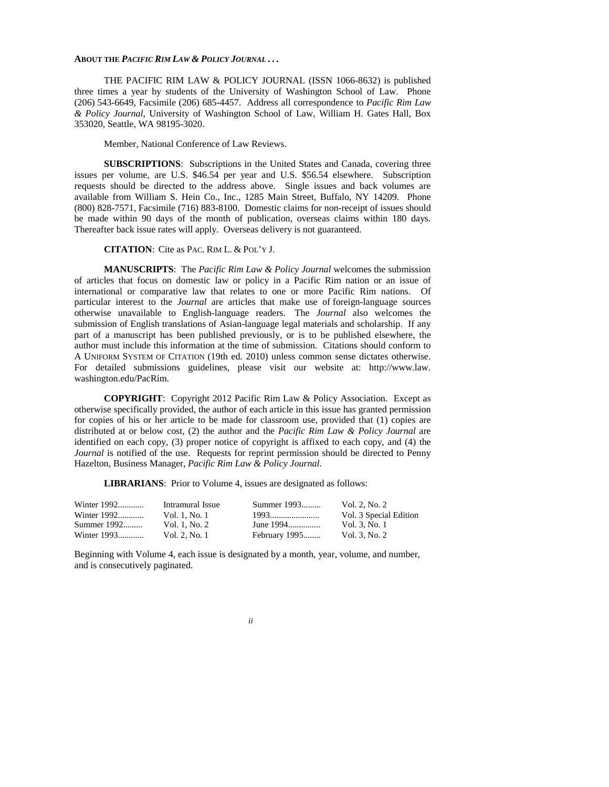#### **ABOUT THE** *PACIFIC RIM LAW & POLICY JOURNAL . . .*

THE PACIFIC RIM LAW & POLICY JOURNAL (ISSN 1066-8632) is published three times a year by students of the University of Washington School of Law. Phone (206) 543-6649, Facsimile (206) 685-4457. Address all correspondence to *Pacific Rim Law & Policy Journal*, University of Washington School of Law, William H. Gates Hall, Box 353020, Seattle, WA 98195-3020.

Member, National Conference of Law Reviews.

**SUBSCRIPTIONS**: Subscriptions in the United States and Canada, covering three issues per volume, are U.S. \$46.54 per year and U.S. \$56.54 elsewhere. Subscription requests should be directed to the address above. Single issues and back volumes are available from William S. Hein Co., Inc., 1285 Main Street, Buffalo, NY 14209. Phone (800) 828-7571, Facsimile (716) 883-8100. Domestic claims for non-receipt of issues should be made within 90 days of the month of publication, overseas claims within 180 days. Thereafter back issue rates will apply. Overseas delivery is not guaranteed.

**CITATION**: Cite as PAC. RIM L. & POL'Y J.

**MANUSCRIPTS**:The *Pacific Rim Law & Policy Journal* welcomes the submission of articles that focus on domestic law or policy in a Pacific Rim nation or an issue of international or comparative law that relates to one or more Pacific Rim nations. Of particular interest to the *Journal* are articles that make use of foreign-language sources otherwise unavailable to English-language readers. The *Journal* also welcomes the submission of English translations of Asian-language legal materials and scholarship. If any part of a manuscript has been published previously, or is to be published elsewhere, the author must include this information at the time of submission. Citations should conform to A UNIFORM SYSTEM OF CITATION (19th ed. 2010) unless common sense dictates otherwise. For detailed submissions guidelines, please visit our website at: http://www.law. washington.edu/PacRim.

**COPYRIGHT**: Copyright 2012 Pacific Rim Law & Policy Association. Except as otherwise specifically provided, the author of each article in this issue has granted permission for copies of his or her article to be made for classroom use, provided that (1) copies are distributed at or below cost, (2) the author and the *Pacific Rim Law & Policy Journal* are identified on each copy, (3) proper notice of copyright is affixed to each copy, and (4) the *Journal* is notified of the use. Requests for reprint permission should be directed to Penny Hazelton, Business Manager, *Pacific Rim Law & Policy Journal.*

**LIBRARIANS**: Prior to Volume 4, issues are designated as follows:

| Winter 1992 | Intramural Issue | Summer 1993   | Vol. 2, No. 2          |
|-------------|------------------|---------------|------------------------|
| Winter 1992 | Vol. 1. No. 1    | 1993          | Vol. 3 Special Edition |
| Summer 1992 | Vol. 1. No. 2    | June 1994     | Vol. 3, No. 1          |
| Winter 1993 | Vol. 2, No. 1    | February 1995 | Vol. 3, No. 2          |

Beginning with Volume 4, each issue is designated by a month, year, volume, and number, and is consecutively paginated.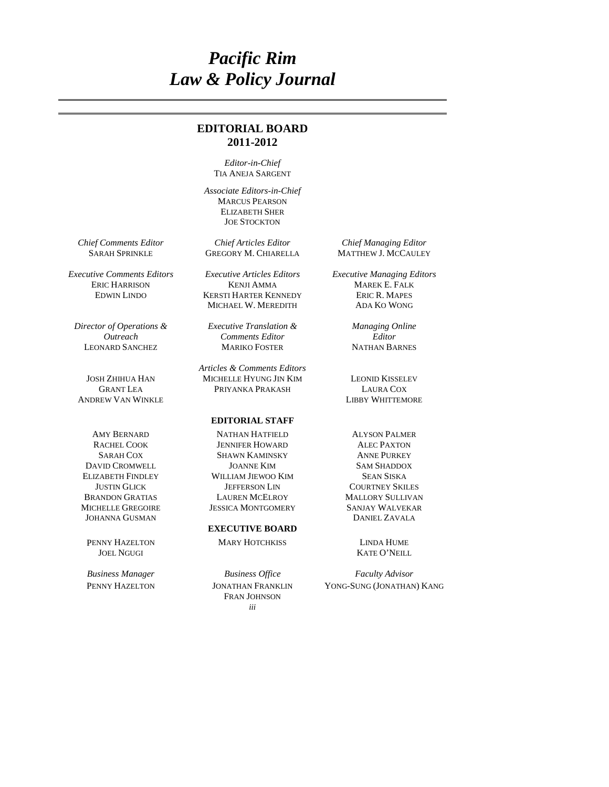# *Pacific Rim Law & Policy Journal*

## **EDITORIAL BOARD 2011-2012**

*Editor-in-Chief*  TIA ANEJA SARGENT

 *Associate Editors-in-Chief*  MARCUS PEARSON ELIZABETH SHER JOE STOCKTON

*Director of Operations & Outreach* 

ANDREW VAN WINKLE LIBBY WHITTEMORE

MICHELLE GREGOIRE JESSICA MONTGOMERY SANJAY WALVEKAR JOHANNA GUSMAN

JOEL NGUGI KATE O'NEILL

SARAH SPRINKLE GREGORY M. CHIARELLA

ERIC HARRISON KENJI AMMA MAREK E. FALK EDWIN LINDO KERSTI HARTER KENNEDY ERIC R. MAPES MICHAEL W. MEREDITH

*Executive Translation & Comments Editor*  LEONARD SANCHEZ MARIKO FOSTER NATHAN BARNES

*Articles & Comments Editors*  JOSH ZHIHUA HAN MICHELLE HYUNG JIN KIM LEONID KISSELEV GRANT LEA PRIYANKA PRAKASH LAURA COX

#### **EDITORIAL STAFF**

AMY BERNARD NATHAN HATFIELD ALYSON PALMER RACHEL COOK JENNIFER HOWARD ALEC PAXTON SARAH COX SHAWN KAMINSKY ANNE PURKEY DAVID CROMWELL JOANNE KIM SAM SHADDOX ELIZABETH FINDLEY WILLIAM JIEWOO KIM SEAN SISKA WILLIAM JIEWOO KIM SEAN SISKA JUSTIN GLICK JEFFERSON LIN COURTNEY SKILES LAUREN MCELROY MALLORY SULLIVAN

#### **EXECUTIVE BOARD**

PENNY HAZELTON MARY HOTCHKISS LINDA HUME

*iii* FRAN JOHNSON

*Chief Comments Editor Chief Articles Editor Chief Managing Editor* 

*Executive Comments Editors Executive Articles Editors Executive Managing Editors* 

*Managing Online Editor* 

*Business Manager Business Office Faculty Advisor*  PENNY HAZELTON JONATHAN FRANKLIN YONG-SUNG (JONATHAN) KANG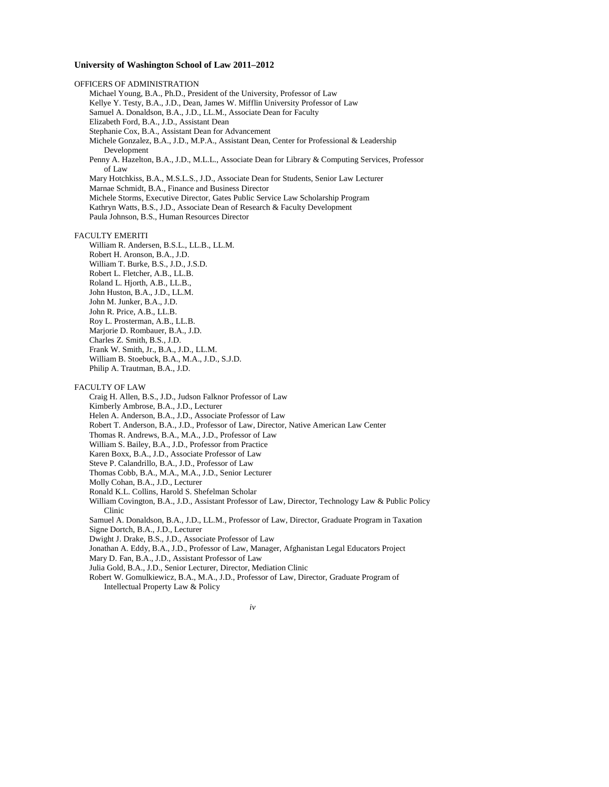#### **University of Washington School of Law 2011–2012**

OFFICERS OF ADMINISTRATION Michael Young, B.A., Ph.D., President of the University, Professor of Law Kellye Y. Testy, B.A., J.D., Dean, James W. Mifflin University Professor of Law Samuel A. Donaldson, B.A., J.D., LL.M., Associate Dean for Faculty Elizabeth Ford, B.A., J.D., Assistant Dean Stephanie Cox, B.A., Assistant Dean for Advancement Michele Gonzalez, B.A., J.D., M.P.A., Assistant Dean, Center for Professional & Leadership Development Penny A. Hazelton, B.A., J.D., M.L.L., Associate Dean for Library & Computing Services, Professor of Law Mary Hotchkiss, B.A., M.S.L.S., J.D., Associate Dean for Students, Senior Law Lecturer Marnae Schmidt, B.A., Finance and Business Director Michele Storms, Executive Director, Gates Public Service Law Scholarship Program Kathryn Watts, B.S., J.D., Associate Dean of Research & Faculty Development Paula Johnson, B.S., Human Resources Director FACULTY EMERITI William R. Andersen, B.S.L., LL.B., LL.M. Robert H. Aronson, B.A., J.D. William T. Burke, B.S., J.D., J.S.D. Robert L. Fletcher, A.B., LL.B. Roland L. Hjorth, A.B., LL.B., John Huston, B.A., J.D., LL.M. John M. Junker, B.A., J.D. John R. Price, A.B., LL.B. Roy L. Prosterman, A.B., LL.B. Marjorie D. Rombauer, B.A., J.D. Charles Z. Smith, B.S., J.D. Frank W. Smith, Jr., B.A., J.D., LL.M. William B. Stoebuck, B.A., M.A., J.D., S.J.D.

Philip A. Trautman, B.A., J.D.

#### FACULTY OF LAW

Craig H. Allen, B.S., J.D., Judson Falknor Professor of Law Kimberly Ambrose, B.A., J.D., Lecturer

Helen A. Anderson, B.A., J.D., Associate Professor of Law

Robert T. Anderson, B.A., J.D., Professor of Law, Director, Native American Law Center

Thomas R. Andrews, B.A., M.A., J.D., Professor of Law

William S. Bailey, B.A., J.D., Professor from Practice

Karen Boxx, B.A., J.D., Associate Professor of Law

Steve P. Calandrillo, B.A., J.D., Professor of Law

Thomas Cobb, B.A., M.A., M.A., J.D., Senior Lecturer

Molly Cohan, B.A., J.D., Lecturer

Ronald K.L. Collins, Harold S. Shefelman Scholar

William Covington, B.A., J.D., Assistant Professor of Law, Director, Technology Law & Public Policy Clinic

Samuel A. Donaldson, B.A., J.D., LL.M., Professor of Law, Director, Graduate Program in Taxation Signe Dortch, B.A., J.D., Lecturer

Dwight J. Drake, B.S., J.D., Associate Professor of Law

Jonathan A. Eddy, B.A., J.D., Professor of Law, Manager, Afghanistan Legal Educators Project

Mary D. Fan, B.A., J.D., Assistant Professor of Law

Julia Gold, B.A., J.D., Senior Lecturer, Director, Mediation Clinic

Robert W. Gomulkiewicz, B.A., M.A., J.D., Professor of Law, Director, Graduate Program of Intellectual Property Law & Policy

*iv*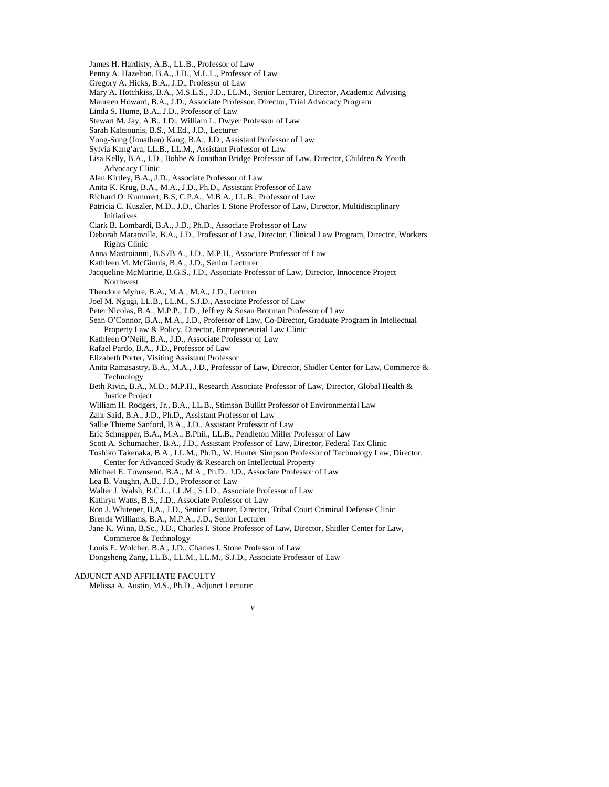- James H. Hardisty, A.B., LL.B., Professor of Law
- Penny A. Hazelton, B.A., J.D., M.L.L., Professor of Law
- Gregory A. Hicks, B.A., J.D., Professor of Law
- Mary A. Hotchkiss, B.A., M.S.L.S., J.D., LL.M., Senior Lecturer, Director, Academic Advising
- Maureen Howard, B.A., J.D., Associate Professor, Director, Trial Advocacy Program
- Linda S. Hume, B.A., J.D., Professor of Law
- Stewart M. Jay, A.B., J.D., William L. Dwyer Professor of Law
- Sarah Kaltsounis, B.S., M.Ed., J.D., Lecturer
- Yong-Sung (Jonathan) Kang, B.A., J.D., Assistant Professor of Law
- Sylvia Kang'ara, LL.B., LL.M., Assistant Professor of Law
- Lisa Kelly, B.A., J.D., Bobbe & Jonathan Bridge Professor of Law, Director, Children & Youth Advocacy Clinic
- Alan Kirtley, B.A., J.D., Associate Professor of Law
- Anita K. Krug, B.A., M.A., J.D., Ph.D., Assistant Professor of Law
- Richard O. Kummert, B.S, C.P.A., M.B.A., LL.B., Professor of Law
- Patricia C. Kuszler, M.D., J.D., Charles I. Stone Professor of Law, Director, Multidisciplinary Initiatives
- Clark B. Lombardi, B.A., J.D., Ph.D., Associate Professor of Law
- Deborah Maranville, B.A., J.D., Professor of Law, Director, Clinical Law Program, Director, Workers Rights Clinic
- Anna Mastroianni, B.S./B.A., J.D., M.P.H., Associate Professor of Law
- Kathleen M. McGinnis, B.A., J.D., Senior Lecturer
- Jacqueline McMurtrie, B.G.S., J.D., Associate Professor of Law, Director, Innocence Project **Northwest**
- Theodore Myhre, B.A., M.A., M.A., J.D., Lecturer
- Joel M. Ngugi, LL.B., LL.M., S.J.D., Associate Professor of Law
- Peter Nicolas, B.A., M.P.P., J.D., Jeffrey & Susan Brotman Professor of Law
- Sean O'Connor, B.A., M.A., J.D., Professor of Law, Co-Director, Graduate Program in Intellectual Property Law & Policy, Director, Entrepreneurial Law Clinic
- Kathleen O'Neill, B.A., J.D., Associate Professor of Law
- Rafael Pardo, B.A., J.D., Professor of Law
- Elizabeth Porter, Visiting Assistant Professor
- Anita Ramasastry, B.A., M.A., J.D., Professor of Law, Director, Shidler Center for Law, Commerce & Technology
- Beth Rivin, B.A., M.D., M.P.H., Research Associate Professor of Law, Director, Global Health & Justice Project
- William H. Rodgers, Jr., B.A., LL.B., Stimson Bullitt Professor of Environmental Law
- Zahr Said, B.A., J.D., Ph.D,, Assistant Professor of Law
- Sallie Thieme Sanford, B.A., J.D., Assistant Professor of Law
- Eric Schnapper, B.A., M.A., B.Phil., LL.B., Pendleton Miller Professor of Law
- Scott A. Schumacher, B.A., J.D., Assistant Professor of Law, Director, Federal Tax Clinic
- Toshiko Takenaka, B.A., LL.M., Ph.D., W. Hunter Simpson Professor of Technology Law, Director, Center for Advanced Study & Research on Intellectual Property
- Michael E. Townsend, B.A., M.A., Ph.D., J.D., Associate Professor of Law
- Lea B. Vaughn, A.B., J.D., Professor of Law
- Walter J. Walsh, B.C.L., LL.M., S.J.D., Associate Professor of Law
- Kathryn Watts, B.S., J.D., Associate Professor of Law

Ron J. Whitener, B.A., J.D., Senior Lecturer, Director, Tribal Court Criminal Defense Clinic

Brenda Williams, B.A., M.P.A., J.D., Senior Lecturer

Jane K. Winn, B.Sc., J.D., Charles I. Stone Professor of Law, Director, Shidler Center for Law, Commerce & Technology

*v*

Louis E. Wolcher, B.A., J.D., Charles I. Stone Professor of Law

Dongsheng Zang, LL.B., LL.M., LL.M., S.J.D., Associate Professor of Law

Melissa A. Austin, M.S., Ph.D., Adjunct Lecturer

ADJUNCT AND AFFILIATE FACULTY